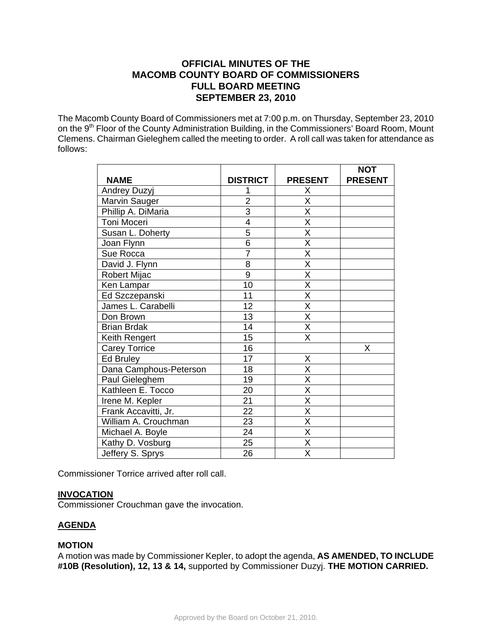# **OFFICIAL MINUTES OF THE MACOMB COUNTY BOARD OF COMMISSIONERS FULL BOARD MEETING SEPTEMBER 23, 2010**

The Macomb County Board of Commissioners met at 7:00 p.m. on Thursday, September 23, 2010 on the 9<sup>th</sup> Floor of the County Administration Building, in the Commissioners' Board Room, Mount Clemens. Chairman Gieleghem called the meeting to order. A roll call was taken for attendance as follows:

|                        |                 |                         | <b>NOT</b>     |
|------------------------|-----------------|-------------------------|----------------|
| <b>NAME</b>            | <b>DISTRICT</b> | <b>PRESENT</b>          | <b>PRESENT</b> |
| Andrey Duzyj           |                 | Χ                       |                |
| Marvin Sauger          | $\overline{2}$  | X                       |                |
| Phillip A. DiMaria     | $\overline{3}$  | $\overline{\mathsf{x}}$ |                |
| Toni Moceri            | $\overline{4}$  | $\overline{\mathsf{x}}$ |                |
| Susan L. Doherty       | 5               | X                       |                |
| Joan Flynn             | $\overline{6}$  | $\overline{\mathsf{x}}$ |                |
| Sue Rocca              | $\overline{7}$  | $\overline{\mathsf{x}}$ |                |
| David J. Flynn         | 8               | $\overline{\mathsf{x}}$ |                |
| Robert Mijac           | $\overline{9}$  | $\overline{\mathsf{x}}$ |                |
| Ken Lampar             | 10              | $\overline{\mathsf{x}}$ |                |
| Ed Szczepanski         | 11              | X                       |                |
| James L. Carabelli     | 12              | X                       |                |
| Don Brown              | 13              | $\overline{\mathsf{x}}$ |                |
| <b>Brian Brdak</b>     | 14              | $\overline{\mathsf{x}}$ |                |
| Keith Rengert          | 15              | $\overline{\mathsf{X}}$ |                |
| <b>Carey Torrice</b>   | 16              |                         | X              |
| Ed Bruley              | 17              | X                       |                |
| Dana Camphous-Peterson | 18              | $\overline{\mathsf{x}}$ |                |
| Paul Gieleghem         | 19              | $\overline{\mathsf{x}}$ |                |
| Kathleen E. Tocco      | 20              | $\overline{\mathsf{x}}$ |                |
| Irene M. Kepler        | 21              | $\overline{\mathsf{x}}$ |                |
| Frank Accavitti, Jr.   | $\overline{22}$ | $\overline{\mathsf{x}}$ |                |
| William A. Crouchman   | 23              | X                       |                |
| Michael A. Boyle       | 24              | X                       |                |
| Kathy D. Vosburg       | 25              | $\overline{\mathsf{x}}$ |                |
| Jeffery S. Sprys       | 26              | $\overline{\mathsf{x}}$ |                |

Commissioner Torrice arrived after roll call.

# **INVOCATION**

Commissioner Crouchman gave the invocation.

# **AGENDA**

## **MOTION**

A motion was made by Commissioner Kepler, to adopt the agenda, **AS AMENDED, TO INCLUDE #10B (Resolution), 12, 13 & 14,** supported by Commissioner Duzyj. **THE MOTION CARRIED.**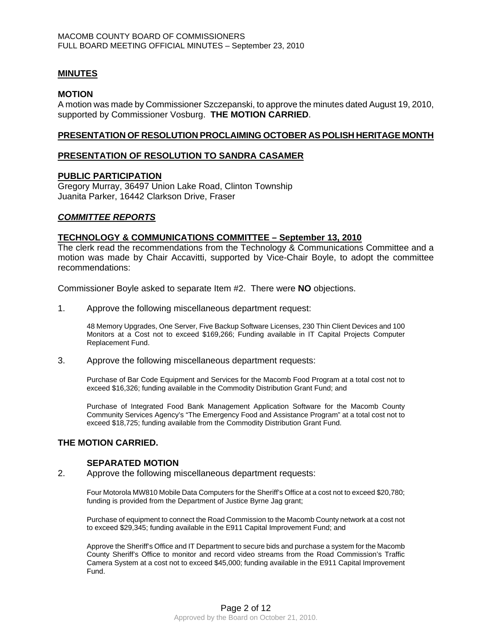## **MINUTES**

#### **MOTION**

A motion was made by Commissioner Szczepanski, to approve the minutes dated August 19, 2010, supported by Commissioner Vosburg. **THE MOTION CARRIED**.

#### **PRESENTATION OF RESOLUTION PROCLAIMING OCTOBER AS POLISH HERITAGE MONTH**

#### **PRESENTATION OF RESOLUTION TO SANDRA CASAMER**

#### **PUBLIC PARTICIPATION**

Gregory Murray, 36497 Union Lake Road, Clinton Township Juanita Parker, 16442 Clarkson Drive, Fraser

#### *COMMITTEE REPORTS*

#### **TECHNOLOGY & COMMUNICATIONS COMMITTEE – September 13, 2010**

The clerk read the recommendations from the Technology & Communications Committee and a motion was made by Chair Accavitti, supported by Vice-Chair Boyle, to adopt the committee recommendations:

Commissioner Boyle asked to separate Item #2. There were **NO** objections.

1. Approve the following miscellaneous department request:

48 Memory Upgrades, One Server, Five Backup Software Licenses, 230 Thin Client Devices and 100 Monitors at a Cost not to exceed \$169,266; Funding available in IT Capital Projects Computer Replacement Fund.

3. Approve the following miscellaneous department requests:

Purchase of Bar Code Equipment and Services for the Macomb Food Program at a total cost not to exceed \$16,326; funding available in the Commodity Distribution Grant Fund; and

Purchase of Integrated Food Bank Management Application Software for the Macomb County Community Services Agency's "The Emergency Food and Assistance Program" at a total cost not to exceed \$18,725; funding available from the Commodity Distribution Grant Fund.

## **THE MOTION CARRIED.**

#### **SEPARATED MOTION**

2. Approve the following miscellaneous department requests:

Four Motorola MW810 Mobile Data Computers for the Sheriff's Office at a cost not to exceed \$20,780; funding is provided from the Department of Justice Byrne Jag grant;

Purchase of equipment to connect the Road Commission to the Macomb County network at a cost not to exceed \$29,345; funding available in the E911 Capital Improvement Fund; and

Approve the Sheriff's Office and IT Department to secure bids and purchase a system for the Macomb County Sheriff's Office to monitor and record video streams from the Road Commission's Traffic Camera System at a cost not to exceed \$45,000; funding available in the E911 Capital Improvement Fund.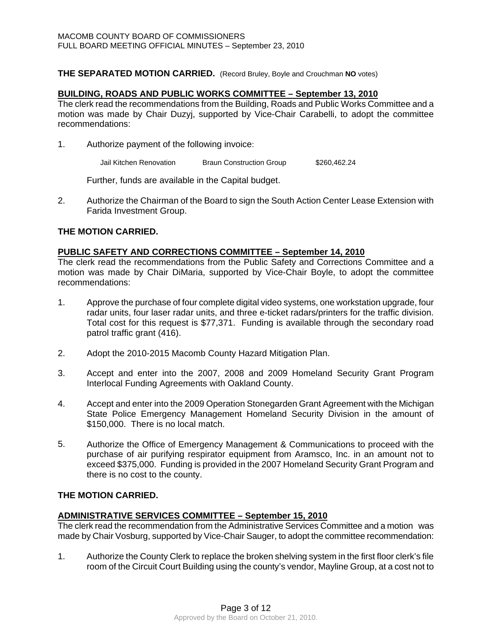#### **THE SEPARATED MOTION CARRIED.** (Record Bruley, Boyle and Crouchman **NO** votes)

#### **BUILDING, ROADS AND PUBLIC WORKS COMMITTEE – September 13, 2010**

The clerk read the recommendations from the Building, Roads and Public Works Committee and a motion was made by Chair Duzyj, supported by Vice-Chair Carabelli, to adopt the committee recommendations:

1. Authorize payment of the following invoice:

Jail Kitchen Renovation Braun Construction Group \$260,462.24

Further, funds are available in the Capital budget.

2. Authorize the Chairman of the Board to sign the South Action Center Lease Extension with Farida Investment Group.

#### **THE MOTION CARRIED.**

#### **PUBLIC SAFETY AND CORRECTIONS COMMITTEE – September 14, 2010**

The clerk read the recommendations from the Public Safety and Corrections Committee and a motion was made by Chair DiMaria, supported by Vice-Chair Boyle, to adopt the committee recommendations:

- 1. Approve the purchase of four complete digital video systems, one workstation upgrade, four radar units, four laser radar units, and three e-ticket radars/printers for the traffic division. Total cost for this request is \$77,371. Funding is available through the secondary road patrol traffic grant (416).
- 2. Adopt the 2010-2015 Macomb County Hazard Mitigation Plan.
- 3. Accept and enter into the 2007, 2008 and 2009 Homeland Security Grant Program Interlocal Funding Agreements with Oakland County.
- 4. Accept and enter into the 2009 Operation Stonegarden Grant Agreement with the Michigan State Police Emergency Management Homeland Security Division in the amount of \$150,000. There is no local match.
- 5. Authorize the Office of Emergency Management & Communications to proceed with the purchase of air purifying respirator equipment from Aramsco, Inc. in an amount not to exceed \$375,000. Funding is provided in the 2007 Homeland Security Grant Program and there is no cost to the county.

# **THE MOTION CARRIED.**

#### **ADMINISTRATIVE SERVICES COMMITTEE – September 15, 2010**

The clerk read the recommendation from the Administrative Services Committee and a motion was made by Chair Vosburg, supported by Vice-Chair Sauger, to adopt the committee recommendation:

1. Authorize the County Clerk to replace the broken shelving system in the first floor clerk's file room of the Circuit Court Building using the county's vendor, Mayline Group, at a cost not to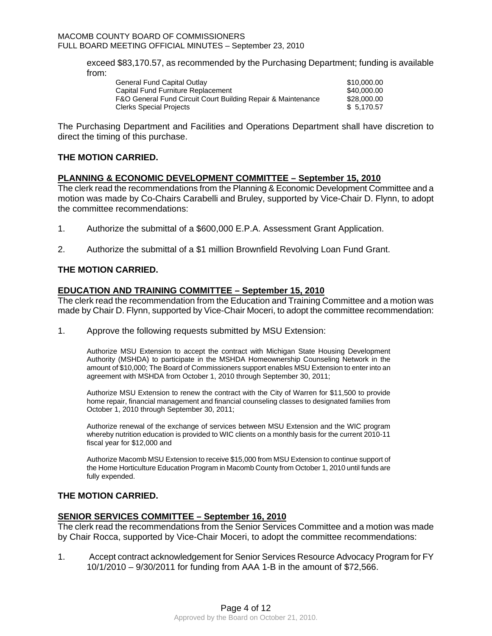exceed \$83,170.57, as recommended by the Purchasing Department; funding is available from:

| General Fund Capital Outlay                                  | \$10,000,00 |
|--------------------------------------------------------------|-------------|
| Capital Fund Furniture Replacement                           | \$40,000,00 |
| F&O General Fund Circuit Court Building Repair & Maintenance | \$28,000.00 |
| Clerks Special Proiects                                      | \$ 5.170.57 |

The Purchasing Department and Facilities and Operations Department shall have discretion to direct the timing of this purchase.

## **THE MOTION CARRIED.**

#### **PLANNING & ECONOMIC DEVELOPMENT COMMITTEE – September 15, 2010**

The clerk read the recommendations from the Planning & Economic Development Committee and a motion was made by Co-Chairs Carabelli and Bruley, supported by Vice-Chair D. Flynn, to adopt the committee recommendations:

- 1. Authorize the submittal of a \$600,000 E.P.A. Assessment Grant Application.
- 2. Authorize the submittal of a \$1 million Brownfield Revolving Loan Fund Grant.

# **THE MOTION CARRIED.**

## **EDUCATION AND TRAINING COMMITTEE – September 15, 2010**

The clerk read the recommendation from the Education and Training Committee and a motion was made by Chair D. Flynn, supported by Vice-Chair Moceri, to adopt the committee recommendation:

1. Approve the following requests submitted by MSU Extension:

Authorize MSU Extension to accept the contract with Michigan State Housing Development Authority (MSHDA) to participate in the MSHDA Homeownership Counseling Network in the amount of \$10,000; The Board of Commissioners support enables MSU Extension to enter into an agreement with MSHDA from October 1, 2010 through September 30, 2011;

Authorize MSU Extension to renew the contract with the City of Warren for \$11,500 to provide home repair, financial management and financial counseling classes to designated families from October 1, 2010 through September 30, 2011;

Authorize renewal of the exchange of services between MSU Extension and the WIC program whereby nutrition education is provided to WIC clients on a monthly basis for the current 2010-11 fiscal year for \$12,000 and

Authorize Macomb MSU Extension to receive \$15,000 from MSU Extension to continue support of the Home Horticulture Education Program in Macomb County from October 1, 2010 until funds are fully expended.

## **THE MOTION CARRIED.**

## **SENIOR SERVICES COMMITTEE – September 16, 2010**

The clerk read the recommendations from the Senior Services Committee and a motion was made by Chair Rocca, supported by Vice-Chair Moceri, to adopt the committee recommendations:

1. Accept contract acknowledgement for Senior Services Resource Advocacy Program for FY 10/1/2010 – 9/30/2011 for funding from AAA 1-B in the amount of \$72,566.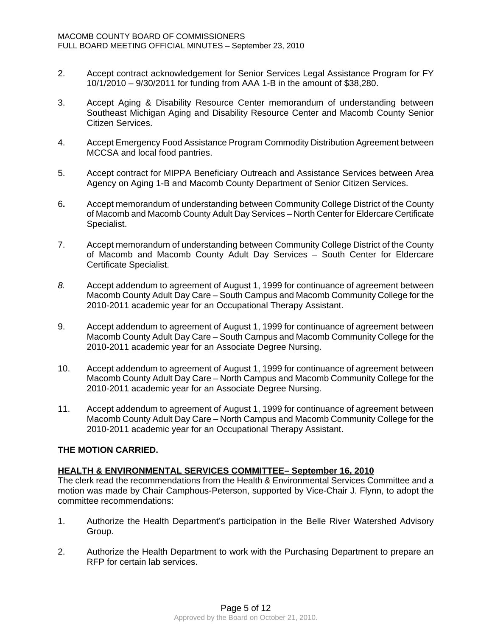- 2. Accept contract acknowledgement for Senior Services Legal Assistance Program for FY 10/1/2010 – 9/30/2011 for funding from AAA 1-B in the amount of \$38,280.
- 3. Accept Aging & Disability Resource Center memorandum of understanding between Southeast Michigan Aging and Disability Resource Center and Macomb County Senior Citizen Services.
- 4. Accept Emergency Food Assistance Program Commodity Distribution Agreement between MCCSA and local food pantries.
- 5. Accept contract for MIPPA Beneficiary Outreach and Assistance Services between Area Agency on Aging 1-B and Macomb County Department of Senior Citizen Services.
- 6**.** Accept memorandum of understanding between Community College District of the County of Macomb and Macomb County Adult Day Services – North Center for Eldercare Certificate Specialist.
- 7. Accept memorandum of understanding between Community College District of the County of Macomb and Macomb County Adult Day Services – South Center for Eldercare Certificate Specialist.
- *8.* Accept addendum to agreement of August 1, 1999 for continuance of agreement between Macomb County Adult Day Care – South Campus and Macomb Community College for the 2010-2011 academic year for an Occupational Therapy Assistant.
- 9. Accept addendum to agreement of August 1, 1999 for continuance of agreement between Macomb County Adult Day Care – South Campus and Macomb Community College for the 2010-2011 academic year for an Associate Degree Nursing.
- 10. Accept addendum to agreement of August 1, 1999 for continuance of agreement between Macomb County Adult Day Care – North Campus and Macomb Community College for the 2010-2011 academic year for an Associate Degree Nursing.
- 11. Accept addendum to agreement of August 1, 1999 for continuance of agreement between Macomb County Adult Day Care – North Campus and Macomb Community College for the 2010-2011 academic year for an Occupational Therapy Assistant.

# **THE MOTION CARRIED.**

# **HEALTH & ENVIRONMENTAL SERVICES COMMITTEE– September 16, 2010**

The clerk read the recommendations from the Health & Environmental Services Committee and a motion was made by Chair Camphous-Peterson, supported by Vice-Chair J. Flynn, to adopt the committee recommendations:

- 1. Authorize the Health Department's participation in the Belle River Watershed Advisory Group.
- 2. Authorize the Health Department to work with the Purchasing Department to prepare an RFP for certain lab services.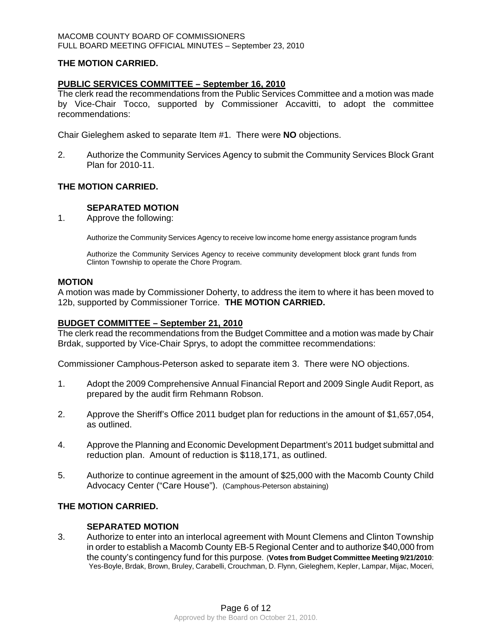## **THE MOTION CARRIED.**

## **PUBLIC SERVICES COMMITTEE – September 16, 2010**

The clerk read the recommendations from the Public Services Committee and a motion was made by Vice-Chair Tocco, supported by Commissioner Accavitti, to adopt the committee recommendations:

Chair Gieleghem asked to separate Item #1. There were **NO** objections.

2. Authorize the Community Services Agency to submit the Community Services Block Grant Plan for 2010-11.

# **THE MOTION CARRIED.**

# **SEPARATED MOTION**

1. Approve the following:

Authorize the Community Services Agency to receive low income home energy assistance program funds

Authorize the Community Services Agency to receive community development block grant funds from Clinton Township to operate the Chore Program.

#### **MOTION**

A motion was made by Commissioner Doherty, to address the item to where it has been moved to 12b, supported by Commissioner Torrice. **THE MOTION CARRIED.** 

## **BUDGET COMMITTEE – September 21, 2010**

The clerk read the recommendations from the Budget Committee and a motion was made by Chair Brdak, supported by Vice-Chair Sprys, to adopt the committee recommendations:

Commissioner Camphous-Peterson asked to separate item 3. There were NO objections.

- 1. Adopt the 2009 Comprehensive Annual Financial Report and 2009 Single Audit Report, as prepared by the audit firm Rehmann Robson.
- 2. Approve the Sheriff's Office 2011 budget plan for reductions in the amount of \$1,657,054, as outlined.
- 4. Approve the Planning and Economic Development Department's 2011 budget submittal and reduction plan. Amount of reduction is \$118,171, as outlined.
- 5. Authorize to continue agreement in the amount of \$25,000 with the Macomb County Child Advocacy Center ("Care House"). (Camphous-Peterson abstaining)

## **THE MOTION CARRIED.**

## **SEPARATED MOTION**

3. Authorize to enter into an interlocal agreement with Mount Clemens and Clinton Township in order to establish a Macomb County EB-5 Regional Center and to authorize \$40,000 from the county's contingency fund for this purpose. (**Votes from Budget Committee Meeting 9/21/2010**: Yes-Boyle, Brdak, Brown, Bruley, Carabelli, Crouchman, D. Flynn, Gieleghem, Kepler, Lampar, Mijac, Moceri,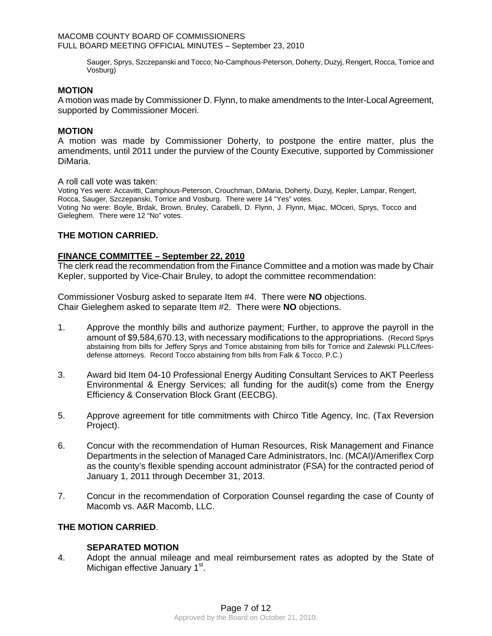Sauger, Sprys, Szczepanski and Tocco; No-Camphous-Peterson, Doherty, Duzyj, Rengert, Rocca, Torrice and Vosburg)

## **MOTION**

A motion was made by Commissioner D. Flynn, to make amendments to the Inter-Local Agreement, supported by Commissioner Moceri.

#### **MOTION**

A motion was made by Commissioner Doherty, to postpone the entire matter, plus the amendments, until 2011 under the purview of the County Executive, supported by Commissioner DiMaria.

A roll call vote was taken:

Voting Yes were: Accavitti, Camphous-Peterson, Crouchman, DiMaria, Doherty, Duzyj, Kepler, Lampar, Rengert, Rocca, Sauger, Szczepanski, Torrice and Vosburg. There were 14 "Yes" votes. Voting No were: Boyle, Brdak, Brown, Bruley, Carabelli, D. Flynn, J. Flynn, Mijac, MOceri, Sprys, Tocco and Gieleghem. There were 12 "No" votes.

## **THE MOTION CARRIED.**

## **FINANCE COMMITTEE – September 22, 2010**

The clerk read the recommendation from the Finance Committee and a motion was made by Chair Kepler, supported by Vice-Chair Bruley, to adopt the committee recommendation:

Commissioner Vosburg asked to separate Item #4. There were **NO** objections. Chair Gieleghem asked to separate Item #2. There were **NO** objections.

- 1. Approve the monthly bills and authorize payment; Further, to approve the payroll in the amount of \$9,584,670.13, with necessary modifications to the appropriations. (Record Sprys abstaining from bills for Jeffery Sprys and Torrice abstaining from bills for Torrice and Zalewski PLLC/feesdefense attorneys. Record Tocco abstaining from bills from Falk & Tocco, P.C.)
- 3. Award bid Item 04-10 Professional Energy Auditing Consultant Services to AKT Peerless Environmental & Energy Services; all funding for the audit(s) come from the Energy Efficiency & Conservation Block Grant (EECBG).
- 5. Approve agreement for title commitments with Chirco Title Agency, Inc. (Tax Reversion Project).
- 6. Concur with the recommendation of Human Resources, Risk Management and Finance Departments in the selection of Managed Care Administrators, Inc. (MCAI)/Ameriflex Corp as the county's flexible spending account administrator (FSA) for the contracted period of January 1, 2011 through December 31, 2013.
- 7. Concur in the recommendation of Corporation Counsel regarding the case of County of Macomb vs. A&R Macomb, LLC.

# **THE MOTION CARRIED**.

## **SEPARATED MOTION**

4. Adopt the annual mileage and meal reimbursement rates as adopted by the State of Michigan effective January 1<sup>st</sup>.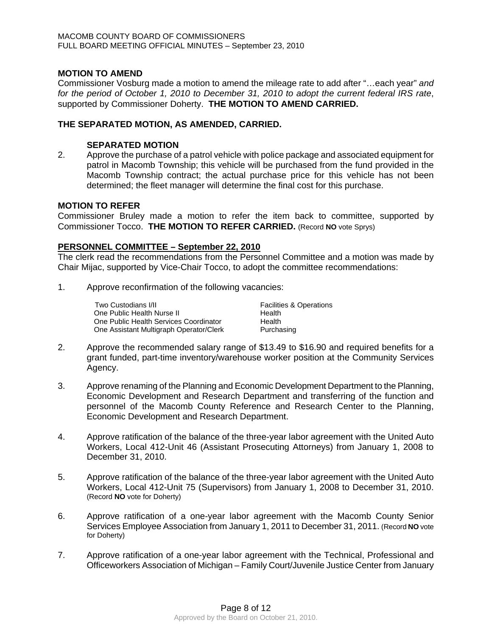## **MOTION TO AMEND**

Commissioner Vosburg made a motion to amend the mileage rate to add after "…each year" *and for the period of October 1, 2010 to December 31, 2010 to adopt the current federal IRS rate*, supported by Commissioner Doherty. **THE MOTION TO AMEND CARRIED.** 

## **THE SEPARATED MOTION, AS AMENDED, CARRIED.**

## **SEPARATED MOTION**

2. Approve the purchase of a patrol vehicle with police package and associated equipment for patrol in Macomb Township; this vehicle will be purchased from the fund provided in the Macomb Township contract; the actual purchase price for this vehicle has not been determined; the fleet manager will determine the final cost for this purchase.

## **MOTION TO REFER**

Commissioner Bruley made a motion to refer the item back to committee, supported by Commissioner Tocco. **THE MOTION TO REFER CARRIED.** (Record **NO** vote Sprys)

## **PERSONNEL COMMITTEE – September 22, 2010**

The clerk read the recommendations from the Personnel Committee and a motion was made by Chair Mijac, supported by Vice-Chair Tocco, to adopt the committee recommendations:

1. Approve reconfirmation of the following vacancies:

| Two Custodians I/II                     | <b>Facilities &amp; Operations</b> |
|-----------------------------------------|------------------------------------|
| One Public Health Nurse II              | Health                             |
| One Public Health Services Coordinator  | Health                             |
| One Assistant Multigraph Operator/Clerk | Purchasing                         |

- 2. Approve the recommended salary range of \$13.49 to \$16.90 and required benefits for a grant funded, part-time inventory/warehouse worker position at the Community Services Agency.
- 3. Approve renaming of the Planning and Economic Development Department to the Planning, Economic Development and Research Department and transferring of the function and personnel of the Macomb County Reference and Research Center to the Planning, Economic Development and Research Department.
- 4. Approve ratification of the balance of the three-year labor agreement with the United Auto Workers, Local 412-Unit 46 (Assistant Prosecuting Attorneys) from January 1, 2008 to December 31, 2010.
- 5. Approve ratification of the balance of the three-year labor agreement with the United Auto Workers, Local 412-Unit 75 (Supervisors) from January 1, 2008 to December 31, 2010. (Record **NO** vote for Doherty)
- 6. Approve ratification of a one-year labor agreement with the Macomb County Senior Services Employee Association from January 1, 2011 to December 31, 2011. (Record **NO** vote for Doherty)
- 7. Approve ratification of a one-year labor agreement with the Technical, Professional and Officeworkers Association of Michigan – Family Court/Juvenile Justice Center from January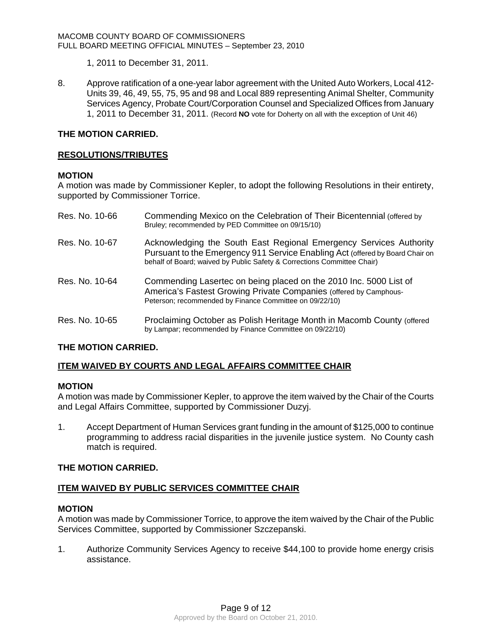1, 2011 to December 31, 2011.

8. Approve ratification of a one-year labor agreement with the United Auto Workers, Local 412- Units 39, 46, 49, 55, 75, 95 and 98 and Local 889 representing Animal Shelter, Community Services Agency, Probate Court/Corporation Counsel and Specialized Offices from January 1, 2011 to December 31, 2011. (Record **NO** vote for Doherty on all with the exception of Unit 46)

# **THE MOTION CARRIED.**

## **RESOLUTIONS/TRIBUTES**

## **MOTION**

A motion was made by Commissioner Kepler, to adopt the following Resolutions in their entirety, supported by Commissioner Torrice.

| Res. No. 10-66 | Commending Mexico on the Celebration of Their Bicentennial (offered by<br>Bruley; recommended by PED Committee on 09/15/10)                                                                                                    |
|----------------|--------------------------------------------------------------------------------------------------------------------------------------------------------------------------------------------------------------------------------|
| Res. No. 10-67 | Acknowledging the South East Regional Emergency Services Authority<br>Pursuant to the Emergency 911 Service Enabling Act (offered by Board Chair on<br>behalf of Board; waived by Public Safety & Corrections Committee Chair) |
| Res. No. 10-64 | Commending Lasertec on being placed on the 2010 Inc. 5000 List of<br>America's Fastest Growing Private Companies (offered by Camphous-<br>Peterson; recommended by Finance Committee on 09/22/10)                              |
| Res. No. 10-65 | Proclaiming October as Polish Heritage Month in Macomb County (offered<br>by Lampar; recommended by Finance Committee on 09/22/10)                                                                                             |

# **THE MOTION CARRIED.**

# **ITEM WAIVED BY COURTS AND LEGAL AFFAIRS COMMITTEE CHAIR**

## **MOTION**

A motion was made by Commissioner Kepler, to approve the item waived by the Chair of the Courts and Legal Affairs Committee, supported by Commissioner Duzyj.

1. Accept Department of Human Services grant funding in the amount of \$125,000 to continue programming to address racial disparities in the juvenile justice system. No County cash match is required.

## **THE MOTION CARRIED.**

## **ITEM WAIVED BY PUBLIC SERVICES COMMITTEE CHAIR**

## **MOTION**

A motion was made by Commissioner Torrice, to approve the item waived by the Chair of the Public Services Committee, supported by Commissioner Szczepanski.

1. Authorize Community Services Agency to receive \$44,100 to provide home energy crisis assistance.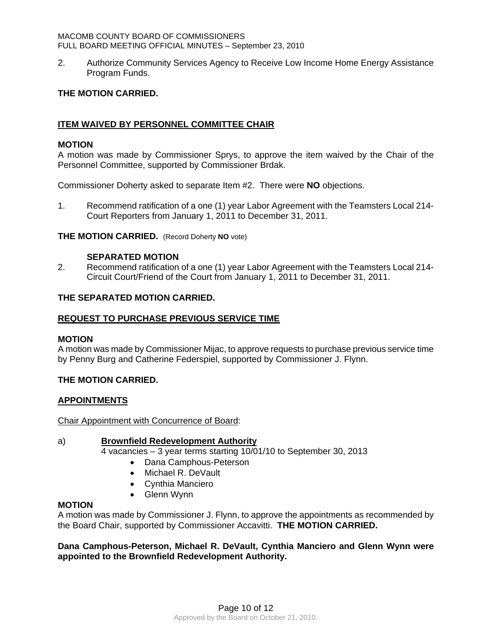2. Authorize Community Services Agency to Receive Low Income Home Energy Assistance Program Funds.

# **THE MOTION CARRIED.**

# **ITEM WAIVED BY PERSONNEL COMMITTEE CHAIR**

## **MOTION**

A motion was made by Commissioner Sprys, to approve the item waived by the Chair of the Personnel Committee, supported by Commissioner Brdak.

Commissioner Doherty asked to separate Item #2. There were **NO** objections.

1. Recommend ratification of a one (1) year Labor Agreement with the Teamsters Local 214- Court Reporters from January 1, 2011 to December 31, 2011.

#### **THE MOTION CARRIED.** (Record Doherty **NO** vote)

#### **SEPARATED MOTION**

2. Recommend ratification of a one (1) year Labor Agreement with the Teamsters Local 214- Circuit Court/Friend of the Court from January 1, 2011 to December 31, 2011.

## **THE SEPARATED MOTION CARRIED.**

#### **REQUEST TO PURCHASE PREVIOUS SERVICE TIME**

#### **MOTION**

A motion was made by Commissioner Mijac, to approve requests to purchase previous service time by Penny Burg and Catherine Federspiel, supported by Commissioner J. Flynn.

## **THE MOTION CARRIED.**

## **APPOINTMENTS**

Chair Appointment with Concurrence of Board:

# a) **Brownfield Redevelopment Authority**

4 vacancies – 3 year terms starting 10/01/10 to September 30, 2013

- Dana Camphous-Peterson
- Michael R. DeVault
- Cynthia Manciero
- Glenn Wynn

## **MOTION**

A motion was made by Commissioner J. Flynn, to approve the appointments as recommended by the Board Chair, supported by Commissioner Accavitti. **THE MOTION CARRIED.** 

**Dana Camphous-Peterson, Michael R. DeVault, Cynthia Manciero and Glenn Wynn were appointed to the Brownfield Redevelopment Authority.**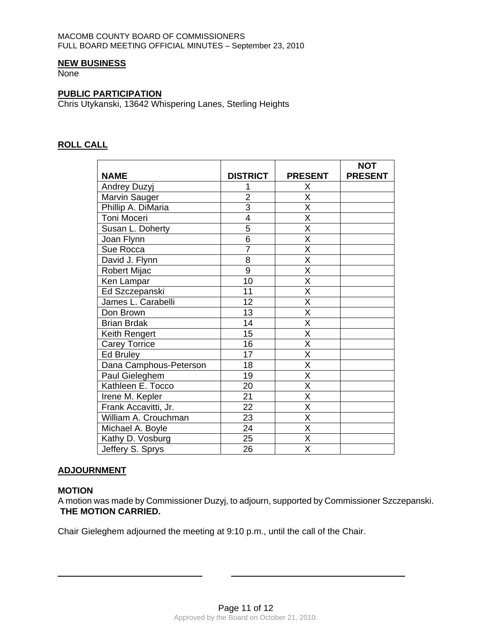## **NEW BUSINESS**

**None** 

## **PUBLIC PARTICIPATION**

Chris Utykanski, 13642 Whispering Lanes, Sterling Heights

# **ROLL CALL**

|                        |                 |                         | <b>NOT</b>     |
|------------------------|-----------------|-------------------------|----------------|
| <b>NAME</b>            | <b>DISTRICT</b> | <b>PRESENT</b>          | <b>PRESENT</b> |
| Andrey Duzyj           | 1               | X                       |                |
| Marvin Sauger          | $\overline{2}$  | X                       |                |
| Phillip A. DiMaria     | $\overline{3}$  | X                       |                |
| Toni Moceri            | 4               | $\overline{\mathsf{x}}$ |                |
| Susan L. Doherty       | 5               | $\overline{\mathsf{x}}$ |                |
| Joan Flynn             | 6               | $\overline{\mathsf{x}}$ |                |
| Sue Rocca              | $\overline{7}$  | $\overline{\mathsf{x}}$ |                |
| David J. Flynn         | 8               | $\overline{\mathsf{x}}$ |                |
| Robert Mijac           | 9               | $\overline{\mathsf{X}}$ |                |
| Ken Lampar             | 10              | $\overline{\mathsf{x}}$ |                |
| Ed Szczepanski         | 11              | $\overline{\mathsf{x}}$ |                |
| James L. Carabelli     | 12              | $\overline{\mathsf{x}}$ |                |
| Don Brown              | 13              | $\overline{\mathsf{x}}$ |                |
| <b>Brian Brdak</b>     | 14              | X                       |                |
| Keith Rengert          | 15              | $\overline{\mathsf{x}}$ |                |
| <b>Carey Torrice</b>   | 16              | X                       |                |
| <b>Ed Bruley</b>       | 17              | $\overline{\mathsf{x}}$ |                |
| Dana Camphous-Peterson | 18              | X                       |                |
| Paul Gieleghem         | 19              | $\overline{\mathsf{x}}$ |                |
| Kathleen E. Tocco      | 20              | $\overline{\mathsf{x}}$ |                |
| Irene M. Kepler        | $\overline{21}$ | $\overline{\mathsf{x}}$ |                |
| Frank Accavitti, Jr.   | 22              | X                       |                |
| William A. Crouchman   | 23              | X                       |                |
| Michael A. Boyle       | 24              | X                       |                |
| Kathy D. Vosburg       | 25              | $\overline{\mathsf{x}}$ |                |
| Jeffery S. Sprys       | 26              | X                       |                |

## **ADJOURNMENT**

## **MOTION**

 $\overline{a}$ 

A motion was made by Commissioner Duzyj, to adjourn, supported by Commissioner Szczepanski. **THE MOTION CARRIED.** 

Chair Gieleghem adjourned the meeting at 9:10 p.m., until the call of the Chair.